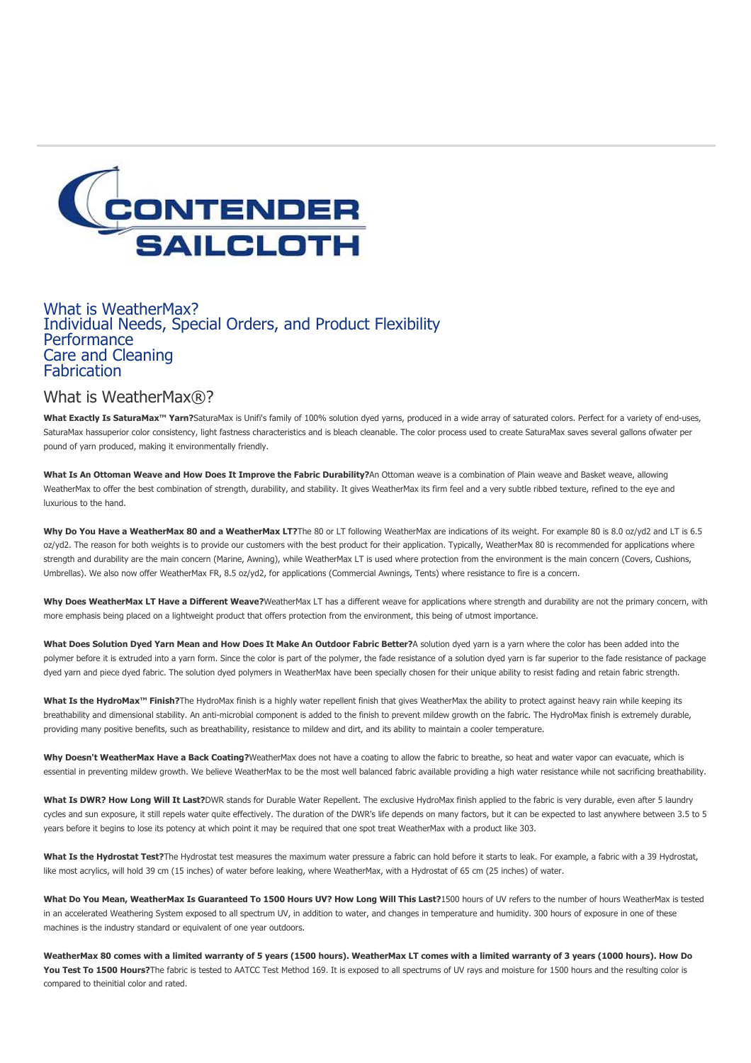

### [What is WeatherMax?](#page-0-0) [Individual Needs, Special Orders, and Product Flexibility](#page-1-0) **[Performance](#page-1-1)** [Care and Cleaning](#page-1-2) **[Fabrication](#page-2-0)**

<span id="page-0-0"></span>What is WeatherMax®?

What Exactly Is SaturaMax<sup>™</sup> Yarn?SaturaMax is Unifi's family of 100% solution dyed yarns, produced in a wide array of saturated colors. Perfect for a variety of end-uses, SaturaMax hassuperior color consistency, light fastness characteristics and is bleach cleanable. The color process used to create SaturaMax saves several gallons ofwater per pound of yarn produced, making it environmentally friendly.

**What Is An Ottoman Weave and How Does It Improve the Fabric Durability?**An Ottoman weave is a combination of Plain weave and Basket weave, allowing WeatherMax to offer the best combination of strength, durability, and stability. It gives WeatherMax its firm feel and a very subtle ribbed texture, refined to the eye and luxurious to the hand.

Why Do You Have a WeatherMax 80 and a WeatherMax LT? The 80 or LT following WeatherMax are indications of its weight. For example 80 is 8.0 oz/yd2 and LT is 6.5 oz/yd2. The reason for both weights is to provide our customers with the best product for their application. Typically, WeatherMax 80 is recommended for applications where strength and durability are the main concern (Marine, Awning), while WeatherMax LT is used where protection from the environment is the main concern (Covers, Cushions, Umbrellas). We also now offer WeatherMax FR, 8.5 oz/yd2, for applications (Commercial Awnings, Tents) where resistance to fire is a concern.

**Why Does WeatherMax LT Have a Different Weave?**WeatherMax LT has a different weave for applications where strength and durability are not the primary concern, with more emphasis being placed on a lightweight product that offers protection from the environment, this being of utmost importance.

**What Does Solution Dyed Yarn Mean and How Does It Make An Outdoor Fabric Better?**A solution dyed yarn is a yarn where the color has been added into the polymer before it is extruded into a yarn form. Since the color is part of the polymer, the fade resistance of a solution dyed yarn is far superior to the fade resistance of package dyed yarn and piece dyed fabric. The solution dyed polymers in WeatherMax have been specially chosen for their unique ability to resist fading and retain fabric strength.

What Is the HydroMax™ Finish?The HydroMax finish is a highly water repellent finish that gives WeatherMax the ability to protect against heavy rain while keeping its breathability and dimensional stability. An anti-microbial component is added to the finish to prevent mildew growth on the fabric. The HydroMax finish is extremely durable, providing many positive benefits, such as breathability, resistance to mildew and dirt, and its ability to maintain a cooler temperature.

Why Doesn't WeatherMax Have a Back Coating?WeatherMax does not have a coating to allow the fabric to breathe, so heat and water vapor can evacuate, which is essential in preventing mildew growth. We believe WeatherMax to be the most well balanced fabric available providing a high water resistance while not sacrificing breathability.

**What Is DWR? How Long Will It Last?**DWR stands for Durable Water Repellent. The exclusive HydroMax finish applied to the fabric is very durable, even after 5 laundry cycles and sun exposure, it still repels water quite effectively. The duration of the DWR's life depends on many factors, but it can be expected to last anywhere between 3.5 to 5 years before it begins to lose its potency at which point it may be required that one spot treat WeatherMax with a product like 303.

What Is the Hydrostat Test? The Hydrostat test measures the maximum water pressure a fabric can hold before it starts to leak. For example, a fabric with a 39 Hydrostat, like most acrylics, will hold 39 cm (15 inches) of water before leaking, where WeatherMax, with a Hydrostat of 65 cm (25 inches) of water.

**What Do You Mean, WeatherMax Is Guaranteed To 1500 Hours UV? How Long Will This Last?**1500 hours of UV refers to the number of hours WeatherMax is tested in an accelerated Weathering System exposed to all spectrum UV, in addition to water, and changes in temperature and humidity. 300 hours of exposure in one of these machines is the industry standard or equivalent of one year outdoors.

**WeatherMax 80 comes with a limited warranty of 5 years (1500 hours). WeatherMax LT comes with a limited warranty of 3 years (1000 hours). How Do** You Test To 1500 Hours? The fabric is tested to AATCC Test Method 169. It is exposed to all spectrums of UV rays and moisture for 1500 hours and the resulting color is compared to theinitial color and rated.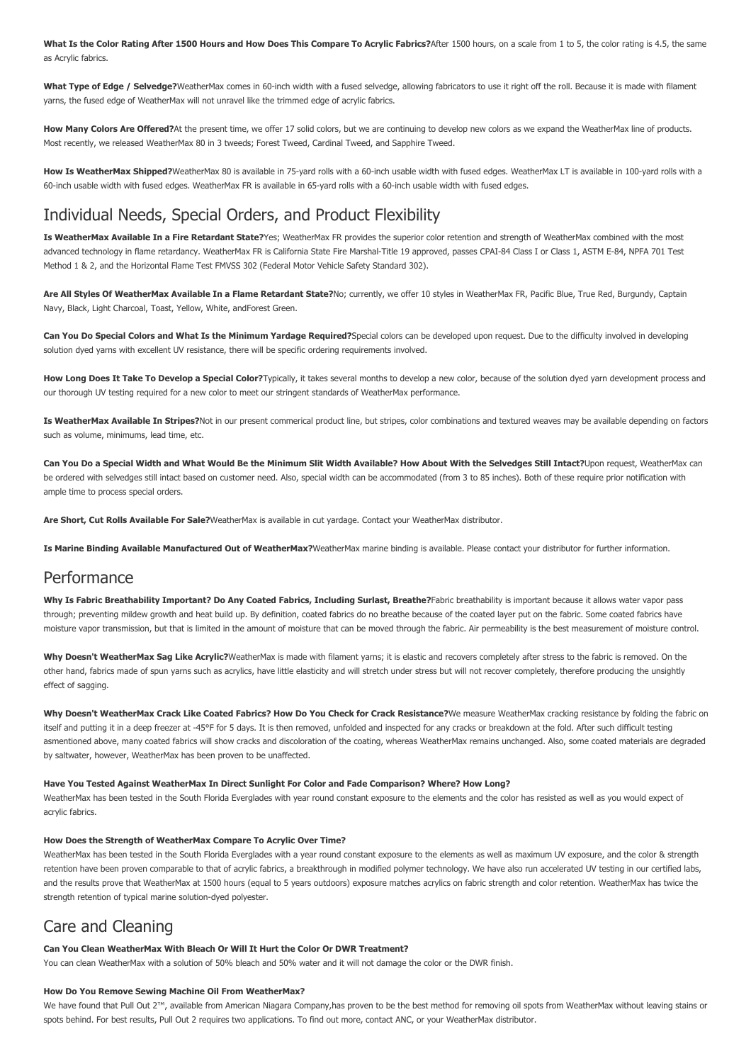**What Is the Color Rating After 1500 Hours and How Does This Compare To Acrylic Fabrics?**After 1500 hours, on a scale from 1 to 5, the color rating is 4.5, the same as Acrylic fabrics.

What Type of Edge / Selvedge?WeatherMax comes in 60-inch width with a fused selvedge, allowing fabricators to use it right off the roll. Because it is made with filament yarns, the fused edge of WeatherMax will not unravel like the trimmed edge of acrylic fabrics.

How Many Colors Are Offered?At the present time, we offer 17 solid colors, but we are continuing to develop new colors as we expand the WeatherMax line of products. Most recently, we released WeatherMax 80 in 3 tweeds; Forest Tweed, Cardinal Tweed, and Sapphire Tweed.

How Is WeatherMax Shipped?WeatherMax 80 is available in 75-yard rolls with a 60-inch usable width with fused edges. WeatherMax LT is available in 100-yard rolls with a 60-inch usable width with fused edges. WeatherMax FR is available in 65-yard rolls with a 60-inch usable width with fused edges.

## <span id="page-1-0"></span>Individual Needs, Special Orders, and Product Flexibility

**Is WeatherMax Available In a Fire Retardant State?**Yes; WeatherMax FR provides the superior color retention and strength of WeatherMax combined with the most advanced technology in flame retardancy. WeatherMax FR is California State Fire Marshal-Title 19 approved, passes CPAI-84 Class I or Class 1, ASTM E-84, NPFA 701 Test Method 1 & 2, and the Horizontal Flame Test FMVSS 302 (Federal Motor Vehicle Safety Standard 302).

**Are All Styles Of WeatherMax Available In a Flame Retardant State?**No; currently, we offer 10 styles in WeatherMax FR, Pacific Blue, True Red, Burgundy, Captain Navy, Black, Light Charcoal, Toast, Yellow, White, andForest Green.

**Can You Do Special Colors and What Is the Minimum Yardage Required?**Special colors can be developed upon request. Due to the difficulty involved in developing solution dyed yarns with excellent UV resistance, there will be specific ordering requirements involved.

How Long Does It Take To Develop a Special Color?Typically, it takes several months to develop a new color, because of the solution dyed yarn development process and our thorough UV testing required for a new color to meet our stringent standards of WeatherMax performance.

**Is WeatherMax Available In Stripes?**Not in our present commerical product line, but stripes, color combinations and textured weaves may be available depending on factors such as volume, minimums, lead time, etc.

**Can You Do a Special Width and What Would Be the Minimum Slit Width Available? How About With the Selvedges Still Intact?**Upon request, WeatherMax can be ordered with selvedges still intact based on customer need. Also, special width can be accommodated (from 3 to 85 inches). Both of these require prior notification with ample time to process special orders.

**Are Short, Cut Rolls Available For Sale?**WeatherMax is available in cut yardage. Contact your WeatherMax distributor.

**Is Marine Binding Available Manufactured Out of WeatherMax?**WeatherMax marine binding is available. Please contact your distributor for further information.

### <span id="page-1-1"></span>Performance

Why Is Fabric Breathability Important? Do Any Coated Fabrics, Including Surlast, Breathe?Fabric breathability is important because it allows water vapor pass through; preventing mildew growth and heat build up. By definition, coated fabrics do no breathe because of the coated layer put on the fabric. Some coated fabrics have moisture vapor transmission, but that is limited in the amount of moisture that can be moved through the fabric. Air permeability is the best measurement of moisture control.

Why Doesn't WeatherMax Sag Like Acrylic?WeatherMax is made with filament varns; it is elastic and recovers completely after stress to the fabric is removed. On the other hand, fabrics made of spun yarns such as acrylics, have little elasticity and will stretch under stress but will not recover completely, therefore producing the unsightly effect of sagging.

**Why Doesn't WeatherMax Crack Like Coated Fabrics? How Do You Check for Crack Resistance?**We measure WeatherMax cracking resistance by folding the fabric on itself and putting it in a deep freezer at -45°F for 5 days. It is then removed, unfolded and inspected for any cracks or breakdown at the fold. After such difficult testing asmentioned above, many coated fabrics will show cracks and discoloration of the coating, whereas WeatherMax remains unchanged. Also, some coated materials are degraded by saltwater, however, WeatherMax has been proven to be unaffected.

#### **Have You Tested Against WeatherMax In Direct Sunlight For Color and Fade Comparison? Where? How Long?**

WeatherMax has been tested in the South Florida Everglades with year round constant exposure to the elements and the color has resisted as well as you would expect of acrylic fabrics.

#### **How Does the Strength of WeatherMax Compare To Acrylic Over Time?**

WeatherMax has been tested in the South Florida Everglades with a year round constant exposure to the elements as well as maximum UV exposure, and the color & strength retention have been proven comparable to that of acrylic fabrics, a breakthrough in modified polymer technology. We have also run accelerated UV testing in our certified labs, and the results prove that WeatherMax at 1500 hours (equal to 5 years outdoors) exposure matches acrylics on fabric strength and color retention. WeatherMax has twice the strength retention of typical marine solution-dyed polyester.

### <span id="page-1-2"></span>Care and Cleaning

#### **Can You Clean WeatherMax With Bleach Or Will It Hurt the Color Or DWR Treatment?**

You can clean WeatherMax with a solution of 50% bleach and 50% water and it will not damage the color or the DWR finish.

#### **How Do You Remove Sewing Machine Oil From WeatherMax?**

We have found that Pull Out 2™, available from American Niagara Company,has proven to be the best method for removing oil spots from WeatherMax without leaving stains or spots behind. For best results, Pull Out 2 requires two applications. To find out more, contact ANC, or your WeatherMax distributor.